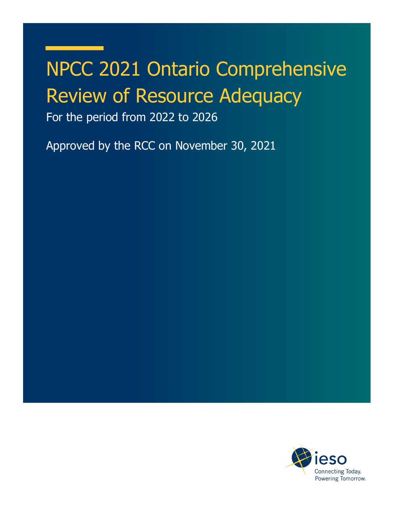# NPCC 2021 Ontario Comprehensive Review of Resource Adequacy

For the period from 2022 to 2026

Approved by the RCC on November 30, 2021

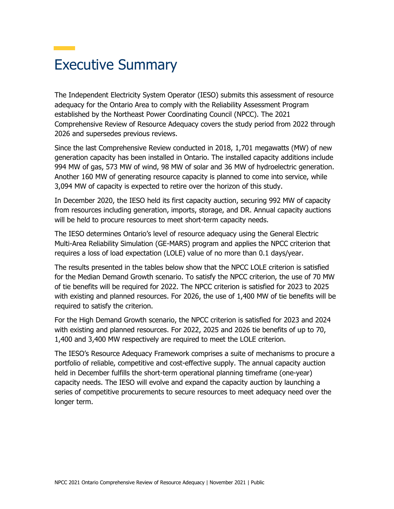## Executive Summary

The Independent Electricity System Operator (IESO) submits this assessment of resource adequacy for the Ontario Area to comply with the Reliability Assessment Program established by the Northeast Power Coordinating Council (NPCC). The 2021 Comprehensive Review of Resource Adequacy covers the study period from 2022 through 2026 and supersedes previous reviews.

Since the last Comprehensive Review conducted in 2018, 1,701 megawatts (MW) of new generation capacity has been installed in Ontario. The installed capacity additions include 994 MW of gas, 573 MW of wind, 98 MW of solar and 36 MW of hydroelectric generation. Another 160 MW of generating resource capacity is planned to come into service, while 3,094 MW of capacity is expected to retire over the horizon of this study.

In December 2020, the IESO held its first capacity auction, securing 992 MW of capacity from resources including generation, imports, storage, and DR. Annual capacity auctions will be held to procure resources to meet short-term capacity needs.

The IESO determines Ontario's level of resource adequacy using the General Electric Multi-Area Reliability Simulation (GE-MARS) program and applies the NPCC criterion that requires a loss of load expectation (LOLE) value of no more than 0.1 days/year.

The results presented in the tables below show that the NPCC LOLE criterion is satisfied for the Median Demand Growth scenario. To satisfy the NPCC criterion, the use of 70 MW of tie benefits will be required for 2022. The NPCC criterion is satisfied for 2023 to 2025 with existing and planned resources. For 2026, the use of 1,400 MW of tie benefits will be required to satisfy the criterion.

For the High Demand Growth scenario, the NPCC criterion is satisfied for 2023 and 2024 with existing and planned resources. For 2022, 2025 and 2026 tie benefits of up to 70, 1,400 and 3,400 MW respectively are required to meet the LOLE criterion.

The IESO's Resource Adequacy Framework comprises a suite of mechanisms to procure a portfolio of reliable, competitive and cost-effective supply. The annual capacity auction held in December fulfills the short-term operational planning timeframe (one-year) capacity needs. The IESO will evolve and expand the capacity auction by launching a series of competitive procurements to secure resources to meet adequacy need over the longer term.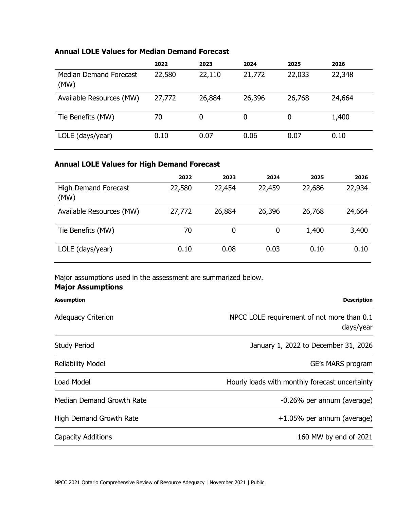#### **Annual LOLE Values for Median Demand Forecast**

|                                | 2022   | 2023   | 2024   | 2025   | 2026   |
|--------------------------------|--------|--------|--------|--------|--------|
| Median Demand Forecast<br>(MW) | 22,580 | 22,110 | 21,772 | 22,033 | 22,348 |
| Available Resources (MW)       | 27,772 | 26,884 | 26,396 | 26,768 | 24,664 |
| Tie Benefits (MW)              | 70     | 0      | 0      | 0      | 1,400  |
| LOLE (days/year)               | 0.10   | 0.07   | 0.06   | 0.07   | 0.10   |

#### **Annual LOLE Values for High Demand Forecast**

|                                     | 2022   | 2023   | 2024   | 2025   | 2026   |
|-------------------------------------|--------|--------|--------|--------|--------|
| <b>High Demand Forecast</b><br>(MW) | 22,580 | 22,454 | 22,459 | 22,686 | 22,934 |
| Available Resources (MW)            | 27,772 | 26,884 | 26,396 | 26,768 | 24,664 |
| Tie Benefits (MW)                   | 70     | 0      | 0      | 1,400  | 3,400  |
| LOLE (days/year)                    | 0.10   | 0.08   | 0.03   | 0.10   | 0.10   |

Major assumptions used in the assessment are summarized below.

#### **Major Assumptions**

| <b>Assumption</b>                | <b>Description</b>                                      |
|----------------------------------|---------------------------------------------------------|
| <b>Adequacy Criterion</b>        | NPCC LOLE requirement of not more than 0.1<br>days/year |
| <b>Study Period</b>              | January 1, 2022 to December 31, 2026                    |
| <b>Reliability Model</b>         | GE's MARS program                                       |
| Load Model                       | Hourly loads with monthly forecast uncertainty          |
| <b>Median Demand Growth Rate</b> | -0.26% per annum (average)                              |
| <b>High Demand Growth Rate</b>   | $+1.05\%$ per annum (average)                           |
| <b>Capacity Additions</b>        | 160 MW by end of 2021                                   |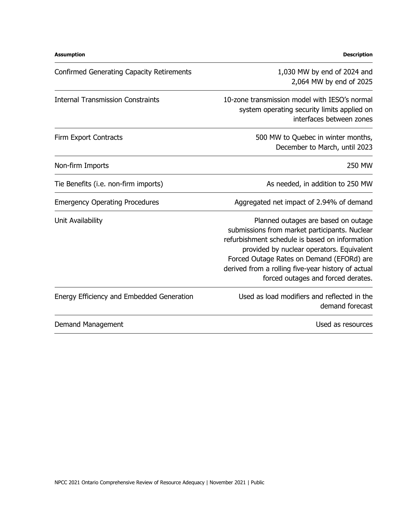| <b>Assumption</b>                                                                                                                                                                                                                                                                                                                                 | <b>Description</b>                                                                                                       |
|---------------------------------------------------------------------------------------------------------------------------------------------------------------------------------------------------------------------------------------------------------------------------------------------------------------------------------------------------|--------------------------------------------------------------------------------------------------------------------------|
| <b>Confirmed Generating Capacity Retirements</b>                                                                                                                                                                                                                                                                                                  | 1,030 MW by end of 2024 and<br>2,064 MW by end of 2025                                                                   |
| <b>Internal Transmission Constraints</b>                                                                                                                                                                                                                                                                                                          | 10-zone transmission model with IESO's normal<br>system operating security limits applied on<br>interfaces between zones |
| <b>Firm Export Contracts</b>                                                                                                                                                                                                                                                                                                                      | 500 MW to Quebec in winter months,<br>December to March, until 2023                                                      |
| Non-firm Imports                                                                                                                                                                                                                                                                                                                                  | <b>250 MW</b>                                                                                                            |
| Tie Benefits (i.e. non-firm imports)                                                                                                                                                                                                                                                                                                              | As needed, in addition to 250 MW                                                                                         |
| <b>Emergency Operating Procedures</b>                                                                                                                                                                                                                                                                                                             | Aggregated net impact of 2.94% of demand                                                                                 |
| Unit Availability<br>Planned outages are based on outage<br>submissions from market participants. Nuclear<br>refurbishment schedule is based on information<br>provided by nuclear operators. Equivalent<br>Forced Outage Rates on Demand (EFORd) are<br>derived from a rolling five-year history of actual<br>forced outages and forced derates. |                                                                                                                          |
| <b>Energy Efficiency and Embedded Generation</b>                                                                                                                                                                                                                                                                                                  | Used as load modifiers and reflected in the<br>demand forecast                                                           |
| Demand Management                                                                                                                                                                                                                                                                                                                                 | Used as resources                                                                                                        |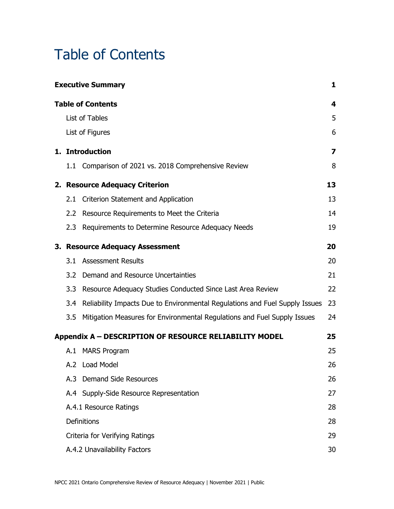## Table of Contents

|               | <b>Executive Summary</b>                                                        | 1  |
|---------------|---------------------------------------------------------------------------------|----|
|               | <b>Table of Contents</b>                                                        | 4  |
|               | List of Tables                                                                  | 5  |
|               | List of Figures                                                                 | 6  |
|               | 1. Introduction                                                                 | 7  |
|               | 1.1 Comparison of 2021 vs. 2018 Comprehensive Review                            | 8  |
|               | 2. Resource Adequacy Criterion                                                  | 13 |
| 2.1           | <b>Criterion Statement and Application</b>                                      | 13 |
|               | 2.2 Resource Requirements to Meet the Criteria                                  | 14 |
|               | 2.3 Requirements to Determine Resource Adequacy Needs                           | 19 |
|               | 3. Resource Adequacy Assessment                                                 | 20 |
|               | 3.1 Assessment Results                                                          | 20 |
| $3.2^{\circ}$ | Demand and Resource Uncertainties                                               | 21 |
| 3.3           | Resource Adequacy Studies Conducted Since Last Area Review                      | 22 |
|               | 3.4 Reliability Impacts Due to Environmental Regulations and Fuel Supply Issues | 23 |
| 3.5           | Mitigation Measures for Environmental Regulations and Fuel Supply Issues        | 24 |
|               | Appendix A - DESCRIPTION OF RESOURCE RELIABILITY MODEL                          | 25 |
|               | A.1 MARS Program                                                                | 25 |
|               | A.2 Load Model                                                                  | 26 |
|               | A.3 Demand Side Resources                                                       | 26 |
|               | A.4 Supply-Side Resource Representation                                         | 27 |
|               | A.4.1 Resource Ratings                                                          | 28 |
|               | Definitions                                                                     | 28 |
|               | Criteria for Verifying Ratings                                                  | 29 |
|               | A.4.2 Unavailability Factors                                                    | 30 |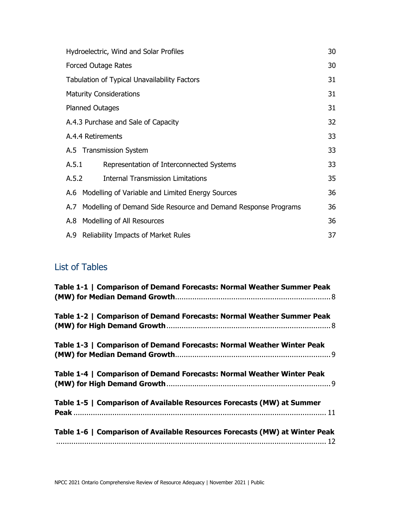| Hydroelectric, Wind and Solar Profiles |                                                                    |    |
|----------------------------------------|--------------------------------------------------------------------|----|
|                                        | <b>Forced Outage Rates</b>                                         | 30 |
|                                        | <b>Tabulation of Typical Unavailability Factors</b>                | 31 |
|                                        | <b>Maturity Considerations</b>                                     | 31 |
|                                        | <b>Planned Outages</b>                                             | 31 |
|                                        | A.4.3 Purchase and Sale of Capacity                                | 32 |
| A.4.4 Retirements                      |                                                                    |    |
|                                        | A.5 Transmission System                                            | 33 |
| A.5.1                                  | Representation of Interconnected Systems                           | 33 |
| A.5.2                                  | <b>Internal Transmission Limitations</b>                           | 35 |
|                                        | A.6 Modelling of Variable and Limited Energy Sources               | 36 |
|                                        | A.7 Modelling of Demand Side Resource and Demand Response Programs | 36 |
|                                        | A.8 Modelling of All Resources                                     | 36 |
|                                        | A.9 Reliability Impacts of Market Rules                            | 37 |

### List of Tables

| Table 1-1   Comparison of Demand Forecasts: Normal Weather Summer Peak      |
|-----------------------------------------------------------------------------|
| Table 1-2   Comparison of Demand Forecasts: Normal Weather Summer Peak      |
| Table 1-3   Comparison of Demand Forecasts: Normal Weather Winter Peak      |
| Table 1-4   Comparison of Demand Forecasts: Normal Weather Winter Peak      |
| Table 1-5   Comparison of Available Resources Forecasts (MW) at Summer      |
| Table 1-6   Comparison of Available Resources Forecasts (MW) at Winter Peak |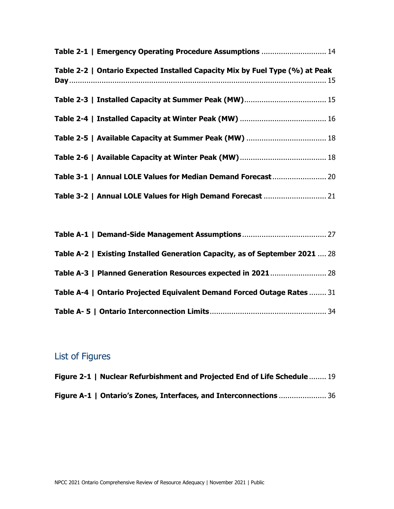| Table 2-1   Emergency Operating Procedure Assumptions  14                    |  |
|------------------------------------------------------------------------------|--|
| Table 2-2   Ontario Expected Installed Capacity Mix by Fuel Type (%) at Peak |  |
|                                                                              |  |
|                                                                              |  |
|                                                                              |  |
|                                                                              |  |
| Table 3-1   Annual LOLE Values for Median Demand Forecast 20                 |  |
|                                                                              |  |

| Table A-2   Existing Installed Generation Capacity, as of September 2021  28 |  |
|------------------------------------------------------------------------------|--|
| Table A-3   Planned Generation Resources expected in 2021 28                 |  |
| Table A-4   Ontario Projected Equivalent Demand Forced Outage Rates  31      |  |
|                                                                              |  |

### List of Figures

| Figure 2-1   Nuclear Refurbishment and Projected End of Life Schedule  19 |  |
|---------------------------------------------------------------------------|--|
| Figure A-1   Ontario's Zones, Interfaces, and Interconnections  36        |  |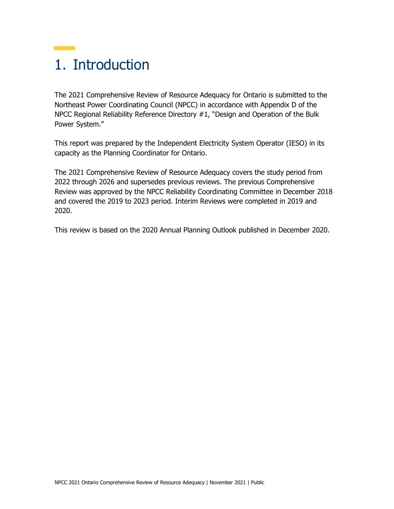## 1. Introduction

The 2021 Comprehensive Review of Resource Adequacy for Ontario is submitted to the Northeast Power Coordinating Council (NPCC) in accordance with Appendix D of the NPCC Regional Reliability Reference Directory #1, "Design and Operation of the Bulk Power System."

This report was prepared by the Independent Electricity System Operator (IESO) in its capacity as the Planning Coordinator for Ontario.

The 2021 Comprehensive Review of Resource Adequacy covers the study period from 2022 through 2026 and supersedes previous reviews. The previous Comprehensive Review was approved by the NPCC Reliability Coordinating Committee in December 2018 and covered the 2019 to 2023 period. Interim Reviews were completed in 2019 and 2020.

This review is based on the 2020 Annual Planning Outlook published in December 2020.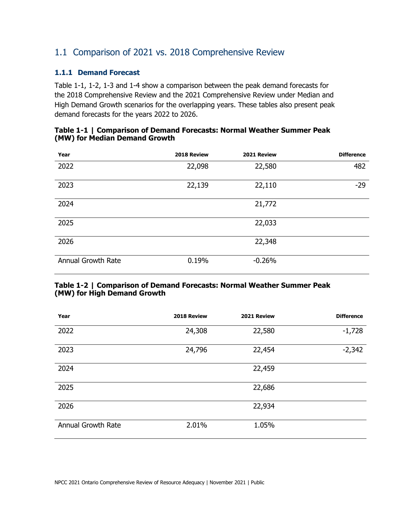### 1.1 Comparison of 2021 vs. 2018 Comprehensive Review

#### **1.1.1 Demand Forecast**

Table 1-1, 1-2, 1-3 and 1-4 show a comparison between the peak demand forecasts for the 2018 Comprehensive Review and the 2021 Comprehensive Review under Median and High Demand Growth scenarios for the overlapping years. These tables also present peak demand forecasts for the years 2022 to 2026.

| Year                      | 2018 Review | 2021 Review | <b>Difference</b> |
|---------------------------|-------------|-------------|-------------------|
| 2022                      | 22,098      | 22,580      | 482               |
| 2023                      | 22,139      | 22,110      | $-29$             |
| 2024                      |             | 21,772      |                   |
| 2025                      |             | 22,033      |                   |
| 2026                      |             | 22,348      |                   |
| <b>Annual Growth Rate</b> | 0.19%       | $-0.26%$    |                   |

#### **Table 1-1 | Comparison of Demand Forecasts: Normal Weather Summer Peak (MW) for Median Demand Growth**

#### **Table 1-2 | Comparison of Demand Forecasts: Normal Weather Summer Peak (MW) for High Demand Growth**

| Year                      | 2018 Review | 2021 Review | <b>Difference</b> |
|---------------------------|-------------|-------------|-------------------|
| 2022                      | 24,308      | 22,580      | $-1,728$          |
| 2023                      | 24,796      | 22,454      | $-2,342$          |
| 2024                      |             | 22,459      |                   |
| 2025                      |             | 22,686      |                   |
| 2026                      |             | 22,934      |                   |
| <b>Annual Growth Rate</b> | 2.01%       | 1.05%       |                   |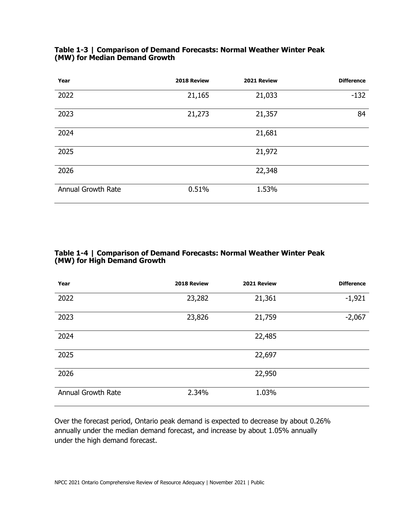| Year                      | 2018 Review | 2021 Review | <b>Difference</b> |
|---------------------------|-------------|-------------|-------------------|
| 2022                      | 21,165      | 21,033      | $-132$            |
| 2023                      | 21,273      | 21,357      | 84                |
| 2024                      |             | 21,681      |                   |
| 2025                      |             | 21,972      |                   |
| 2026                      |             | 22,348      |                   |
| <b>Annual Growth Rate</b> | 0.51%       | 1.53%       |                   |

#### **Table 1-3 | Comparison of Demand Forecasts: Normal Weather Winter Peak (MW) for Median Demand Growth**

#### **Table 1-4 | Comparison of Demand Forecasts: Normal Weather Winter Peak (MW) for High Demand Growth**

| Year               | 2018 Review | 2021 Review | <b>Difference</b> |
|--------------------|-------------|-------------|-------------------|
| 2022               | 23,282      | 21,361      | $-1,921$          |
| 2023               | 23,826      | 21,759      | $-2,067$          |
| 2024               |             | 22,485      |                   |
| 2025               |             | 22,697      |                   |
| 2026               |             | 22,950      |                   |
| Annual Growth Rate | 2.34%       | 1.03%       |                   |

Over the forecast period, Ontario peak demand is expected to decrease by about 0.26% annually under the median demand forecast, and increase by about 1.05% annually under the high demand forecast.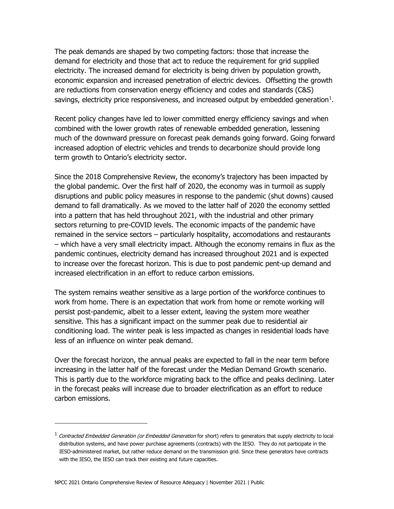The peak demands are shaped by two competing factors: those that increase the demand for electricity and those that act to reduce the requirement for grid supplied electricity. The increased demand for electricity is being driven by population growth, economic expansion and increased penetration of electric devices. Offsetting the growth are reductions from conservation energy efficiency and codes and standards (C&S) savings, electricity price responsiveness, and increased output by embedded generation $^1$  $^1$ .

Recent policy changes have led to lower committed energy efficiency savings and when combined with the lower growth rates of renewable embedded generation, lessening much of the downward pressure on forecast peak demands going forward. Going forward increased adoption of electric vehicles and trends to decarbonize should provide long term growth to Ontario's electricity sector.

Since the 2018 Comprehensive Review, the economy's trajectory has been impacted by the global pandemic. Over the first half of 2020, the economy was in turmoil as supply disruptions and public policy measures in response to the pandemic (shut downs) caused demand to fall dramatically. As we moved to the latter half of 2020 the economy settled into a pattern that has held throughout 2021, with the industrial and other primary sectors returning to pre-COVID levels. The economic impacts of the pandemic have remained in the service sectors – particularly hospitality, accomodations and restaurants – which have a very small electricity impact. Although the economy remains in flux as the pandemic continues, electricity demand has increased throughout 2021 and is expected to increase over the forecast horizon. This is due to post pandemic pent-up demand and increased electrification in an effort to reduce carbon emissions.

The system remains weather sensitive as a large portion of the workforce continues to work from home. There is an expectation that work from home or remote working will persist post-pandemic, albeit to a lesser extent, leaving the system more weather sensitive. This has a significant impact on the summer peak due to residential air conditioning load. The winter peak is less impacted as changes in residential loads have less of an influence on winter peak demand.

Over the forecast horizon, the annual peaks are expected to fall in the near term before increasing in the latter half of the forecast under the Median Demand Growth scenario. This is partly due to the workforce migrating back to the office and peaks declining. Later in the forecast peaks will increase due to broader electrification as an effort to reduce carbon emissions.

<span id="page-10-0"></span> $1$  Contracted Embedded Generation (or Embedded Generation for short) refers to generators that supply electricity to local distribution systems, and have power purchase agreements (contracts) with the IESO. They do not participate in the IESO-administered market, but rather reduce demand on the transmission grid. Since these generators have contracts with the IESO, the IESO can track their existing and future capacities.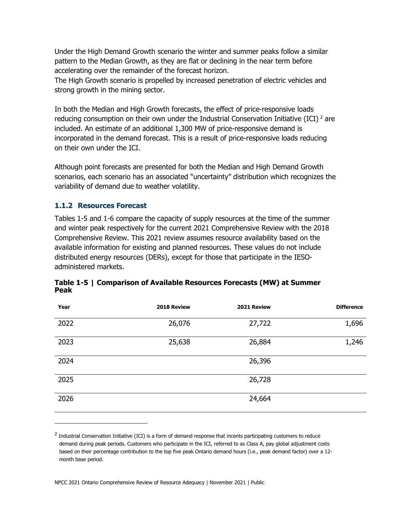Under the High Demand Growth scenario the winter and summer peaks follow a similar pattern to the Median Growth, as they are flat or declining in the near term before accelerating over the remainder of the forecast horizon.

The High Growth scenario is propelled by increased penetration of electric vehicles and strong growth in the mining sector.

In both the Median and High Growth forecasts, the effect of price-responsive loads reducing consumption on their own under the Industrial Conservation Initiative (ICI)<sup>[2](#page-11-0)</sup> are included. An estimate of an additional 1,300 MW of price-responsive demand is incorporated in the demand forecast. This is a result of price-responsive loads reducing on their own under the ICI.

Although point forecasts are presented for both the Median and High Demand Growth scenarios, each scenario has an associated "uncertainty" distribution which recognizes the variability of demand due to weather volatility.

#### **1.1.2 Resources Forecast**

Tables 1-5 and 1-6 compare the capacity of supply resources at the time of the summer and winter peak respectively for the current 2021 Comprehensive Review with the 2018 Comprehensive Review. This 2021 review assumes resource availability based on the available information for existing and planned resources. These values do not include distributed energy resources (DERs), except for those that participate in the IESOadministered markets.

| Year | 2018 Review | 2021 Review | <b>Difference</b> |
|------|-------------|-------------|-------------------|
| 2022 | 26,076      | 27,722      | 1,696             |
| 2023 | 25,638      | 26,884      | 1,246             |
| 2024 |             | 26,396      |                   |
| 2025 |             | 26,728      |                   |
| 2026 |             | 24,664      |                   |

|             | Table 1-5   Comparison of Available Resources Forecasts (MW) at Summer |
|-------------|------------------------------------------------------------------------|
| <b>Peak</b> |                                                                        |

<span id="page-11-0"></span><sup>&</sup>lt;sup>2</sup> Industrial Conservation Initiative (ICI) is a form of demand response that incents participating customers to reduce demand during peak periods. Customers who participate in the ICI, referred to as Class A, pay global adjustment costs based on their percentage contribution to the top five peak Ontario demand hours (i.e., peak demand factor) over a 12 month base period.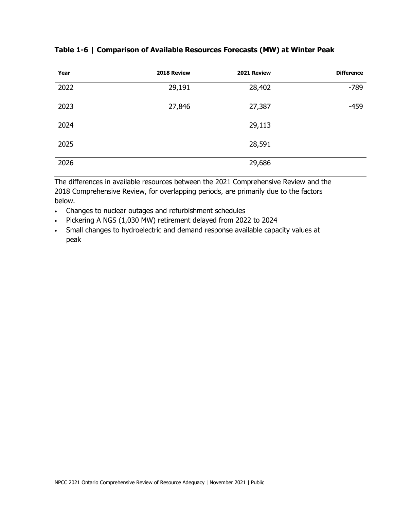| Year | 2018 Review | 2021 Review | <b>Difference</b> |
|------|-------------|-------------|-------------------|
| 2022 | 29,191      | 28,402      | $-789$            |
| 2023 | 27,846      | 27,387      | $-459$            |
| 2024 |             | 29,113      |                   |
| 2025 |             | 28,591      |                   |
| 2026 |             | 29,686      |                   |

#### **Table 1-6 | Comparison of Available Resources Forecasts (MW) at Winter Peak**

The differences in available resources between the 2021 Comprehensive Review and the 2018 Comprehensive Review, for overlapping periods, are primarily due to the factors below.

- Changes to nuclear outages and refurbishment schedules
- Pickering A NGS (1,030 MW) retirement delayed from 2022 to 2024
- Small changes to hydroelectric and demand response available capacity values at peak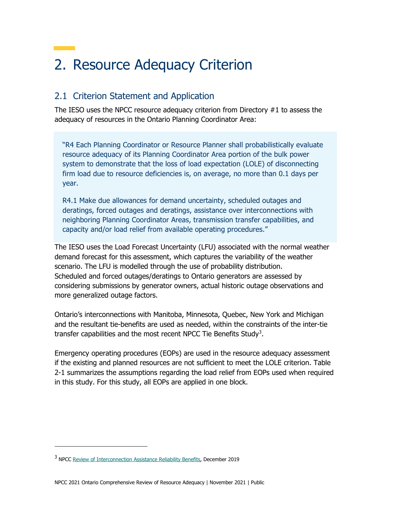## 2. Resource Adequacy Criterion

### 2.1 Criterion Statement and Application

The IESO uses the NPCC resource adequacy criterion from Directory #1 to assess the adequacy of resources in the Ontario Planning Coordinator Area:

"R4 Each Planning Coordinator or Resource Planner shall probabilistically evaluate resource adequacy of its Planning Coordinator Area portion of the bulk power system to demonstrate that the loss of load expectation (LOLE) of disconnecting firm load due to resource deficiencies is, on average, no more than 0.1 days per year.

R4.1 Make due allowances for demand uncertainty, scheduled outages and deratings, forced outages and deratings, assistance over interconnections with neighboring Planning Coordinator Areas, transmission transfer capabilities, and capacity and/or load relief from available operating procedures."

The IESO uses the Load Forecast Uncertainty (LFU) associated with the normal weather demand forecast for this assessment, which captures the variability of the weather scenario. The LFU is modelled through the use of probability distribution. Scheduled and forced outages/deratings to Ontario generators are assessed by considering submissions by generator owners, actual historic outage observations and more generalized outage factors.

Ontario's interconnections with Manitoba, Minnesota, Quebec, New York and Michigan and the resultant tie-benefits are used as needed, within the constraints of the inter-tie transfer capabilities and the most recent NPCC Tie Benefits Study<sup>[3](#page-13-0)</sup>.

Emergency operating procedures (EOPs) are used in the resource adequacy assessment if the existing and planned resources are not sufficient to meet the LOLE criterion. Table 2-1 summarizes the assumptions regarding the load relief from EOPs used when required in this study. For this study, all EOPs are applied in one block.

<span id="page-13-0"></span><sup>3</sup> NPCC [Review of Interconnection Assistance Reliability Benefits,](https://www.npcc.org/content/docs/public/library/publications/tie-benefits/rcc-approved-2019-december-16-tie-benefit-report.pdf) December 2019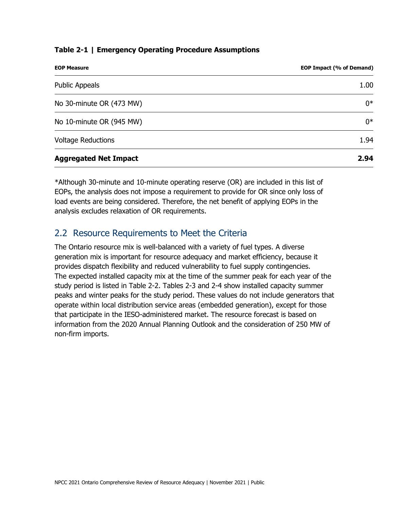#### **Table 2-1 | Emergency Operating Procedure Assumptions**

| <b>EOP Measure</b>           | EOP Impact (% of Demand) |
|------------------------------|--------------------------|
| <b>Public Appeals</b>        | 1.00                     |
| No 30-minute OR (473 MW)     | $0*$                     |
| No 10-minute OR (945 MW)     | $0*$                     |
| <b>Voltage Reductions</b>    | 1.94                     |
| <b>Aggregated Net Impact</b> | 2.94                     |

\*Although 30-minute and 10-minute operating reserve (OR) are included in this list of EOPs, the analysis does not impose a requirement to provide for OR since only loss of load events are being considered. Therefore, the net benefit of applying EOPs in the analysis excludes relaxation of OR requirements.

### 2.2 Resource Requirements to Meet the Criteria

The Ontario resource mix is well-balanced with a variety of fuel types. A diverse generation mix is important for resource adequacy and market efficiency, because it provides dispatch flexibility and reduced vulnerability to fuel supply contingencies. The expected installed capacity mix at the time of the summer peak for each year of the study period is listed in Table 2-2. Tables 2-3 and 2-4 show installed capacity summer peaks and winter peaks for the study period. These values do not include generators that operate within local distribution service areas (embedded generation), except for those that participate in the IESO-administered market. The resource forecast is based on information from the 2020 Annual Planning Outlook and the consideration of 250 MW of non-firm imports.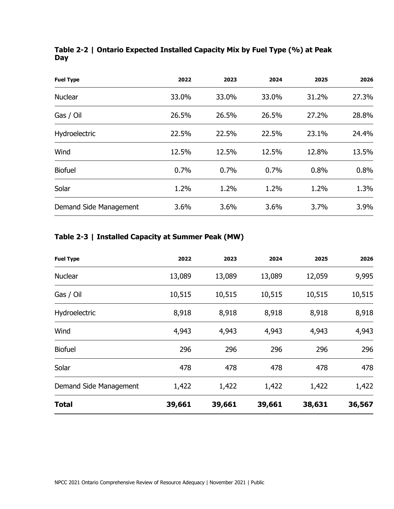|     | Table 2-2   Ontario Expected Installed Capacity Mix by Fuel Type (%) at Peak |  |  |  |
|-----|------------------------------------------------------------------------------|--|--|--|
| Day |                                                                              |  |  |  |

| <b>Fuel Type</b>       | 2022  | 2023  | 2024  | 2025  | 2026  |
|------------------------|-------|-------|-------|-------|-------|
| <b>Nuclear</b>         | 33.0% | 33.0% | 33.0% | 31.2% | 27.3% |
| Gas / Oil              | 26.5% | 26.5% | 26.5% | 27.2% | 28.8% |
| Hydroelectric          | 22.5% | 22.5% | 22.5% | 23.1% | 24.4% |
| Wind                   | 12.5% | 12.5% | 12.5% | 12.8% | 13.5% |
| <b>Biofuel</b>         | 0.7%  | 0.7%  | 0.7%  | 0.8%  | 0.8%  |
| Solar                  | 1.2%  | 1.2%  | 1.2%  | 1.2%  | 1.3%  |
| Demand Side Management | 3.6%  | 3.6%  | 3.6%  | 3.7%  | 3.9%  |

### **Table 2-3 | Installed Capacity at Summer Peak (MW)**

| <b>Fuel Type</b>        | 2022   | 2023   | 2024   | 2025   | 2026   |
|-------------------------|--------|--------|--------|--------|--------|
| Nuclear                 | 13,089 | 13,089 | 13,089 | 12,059 | 9,995  |
| Gas / Oil               | 10,515 | 10,515 | 10,515 | 10,515 | 10,515 |
| Hydroelectric           | 8,918  | 8,918  | 8,918  | 8,918  | 8,918  |
| Wind                    | 4,943  | 4,943  | 4,943  | 4,943  | 4,943  |
| <b>Biofuel</b>          | 296    | 296    | 296    | 296    | 296    |
| Solar                   | 478    | 478    | 478    | 478    | 478    |
| Demand Side Management  | 1,422  | 1,422  | 1,422  | 1,422  | 1,422  |
| <b>Total</b><br>_______ | 39,661 | 39,661 | 39,661 | 38,631 | 36,567 |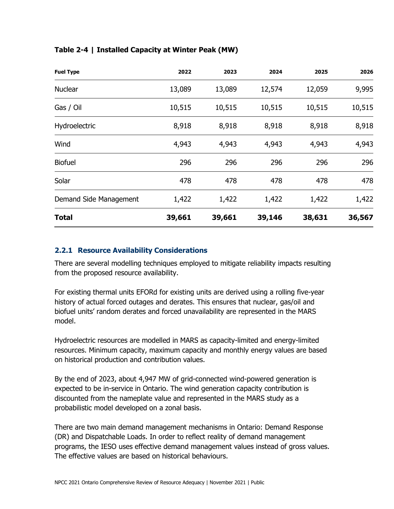| <b>Fuel Type</b>       | 2022   | 2023   | 2024   | 2025   | 2026   |
|------------------------|--------|--------|--------|--------|--------|
| <b>Nuclear</b>         | 13,089 | 13,089 | 12,574 | 12,059 | 9,995  |
| Gas / Oil              | 10,515 | 10,515 | 10,515 | 10,515 | 10,515 |
| Hydroelectric          | 8,918  | 8,918  | 8,918  | 8,918  | 8,918  |
| Wind                   | 4,943  | 4,943  | 4,943  | 4,943  | 4,943  |
| <b>Biofuel</b>         | 296    | 296    | 296    | 296    | 296    |
| Solar                  | 478    | 478    | 478    | 478    | 478    |
| Demand Side Management | 1,422  | 1,422  | 1,422  | 1,422  | 1,422  |
| <b>Total</b>           | 39,661 | 39,661 | 39,146 | 38,631 | 36,567 |

#### **Table 2-4 | Installed Capacity at Winter Peak (MW)**

#### **2.2.1 Resource Availability Considerations**

There are several modelling techniques employed to mitigate reliability impacts resulting from the proposed resource availability.

For existing thermal units EFORd for existing units are derived using a rolling five-year history of actual forced outages and derates. This ensures that nuclear, gas/oil and biofuel units' random derates and forced unavailability are represented in the MARS model.

Hydroelectric resources are modelled in MARS as capacity-limited and energy-limited resources. Minimum capacity, maximum capacity and monthly energy values are based on historical production and contribution values.

By the end of 2023, about 4,947 MW of grid-connected wind-powered generation is expected to be in-service in Ontario. The wind generation capacity contribution is discounted from the nameplate value and represented in the MARS study as a probabilistic model developed on a zonal basis.

There are two main demand management mechanisms in Ontario: Demand Response (DR) and Dispatchable Loads. In order to reflect reality of demand management programs, the IESO uses effective demand management values instead of gross values. The effective values are based on historical behaviours.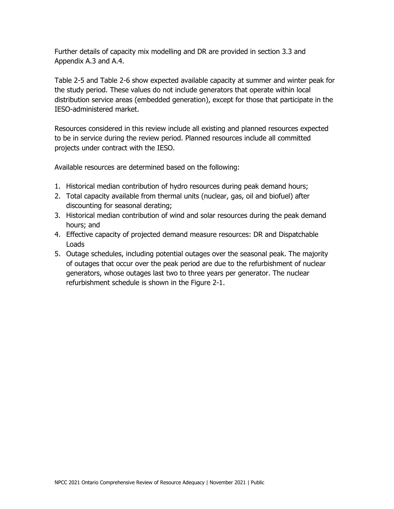Further details of capacity mix modelling and DR are provided in section 3.3 and Appendix A.3 and A.4.

Table 2-5 and Table 2-6 show expected available capacity at summer and winter peak for the study period. These values do not include generators that operate within local distribution service areas (embedded generation), except for those that participate in the IESO-administered market.

Resources considered in this review include all existing and planned resources expected to be in service during the review period. Planned resources include all committed projects under contract with the IESO.

Available resources are determined based on the following:

- 1. Historical median contribution of hydro resources during peak demand hours;
- 2. Total capacity available from thermal units (nuclear, gas, oil and biofuel) after discounting for seasonal derating;
- 3. Historical median contribution of wind and solar resources during the peak demand hours; and
- 4. Effective capacity of projected demand measure resources: DR and Dispatchable Loads
- 5. Outage schedules, including potential outages over the seasonal peak. The majority of outages that occur over the peak period are due to the refurbishment of nuclear generators, whose outages last two to three years per generator. The nuclear refurbishment schedule is shown in the Figure 2-1.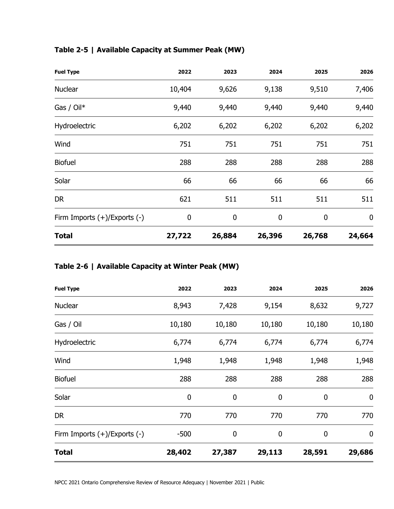|  | Table 2-5   Available Capacity at Summer Peak (MW) |
|--|----------------------------------------------------|
|--|----------------------------------------------------|

| <b>Fuel Type</b>                  | 2022   | 2023   | 2024             | 2025   | 2026             |
|-----------------------------------|--------|--------|------------------|--------|------------------|
| <b>Nuclear</b>                    | 10,404 | 9,626  | 9,138            | 9,510  | 7,406            |
| Gas / $Oil^*$                     | 9,440  | 9,440  | 9,440            | 9,440  | 9,440            |
| Hydroelectric                     | 6,202  | 6,202  | 6,202            | 6,202  | 6,202            |
| Wind                              | 751    | 751    | 751              | 751    | 751              |
| <b>Biofuel</b>                    | 288    | 288    | 288              | 288    | 288              |
| Solar                             | 66     | 66     | 66               | 66     | 66               |
| <b>DR</b>                         | 621    | 511    | 511              | 511    | 511              |
| Firm Imports $(+)/$ Exports $(-)$ | 0      | 0      | $\boldsymbol{0}$ | 0      | $\boldsymbol{0}$ |
| <b>Total</b>                      | 27,722 | 26,884 | 26,396           | 26,768 | 24,664           |

### **Table 2-6 | Available Capacity at Winter Peak (MW)**

| <b>Fuel Type</b>             | 2022   | 2023   | 2024             | 2025             | 2026             |
|------------------------------|--------|--------|------------------|------------------|------------------|
| <b>Nuclear</b>               | 8,943  | 7,428  | 9,154            | 8,632            | 9,727            |
| Gas / Oil                    | 10,180 | 10,180 | 10,180           | 10,180           | 10,180           |
| Hydroelectric                | 6,774  | 6,774  | 6,774            | 6,774            | 6,774            |
| Wind                         | 1,948  | 1,948  | 1,948            | 1,948            | 1,948            |
| <b>Biofuel</b>               | 288    | 288    | 288              | 288              | 288              |
| Solar                        | 0      | 0      | $\mathbf 0$      | 0                | $\boldsymbol{0}$ |
| DR                           | 770    | 770    | 770              | 770              | 770              |
| Firm Imports (+)/Exports (-) | $-500$ | 0      | $\boldsymbol{0}$ | $\boldsymbol{0}$ | $\boldsymbol{0}$ |
| <b>Total</b>                 | 28,402 | 27,387 | 29,113           | 28,591           | 29,686           |

NPCC 2021 Ontario Comprehensive Review of Resource Adequacy | November 2021 | Public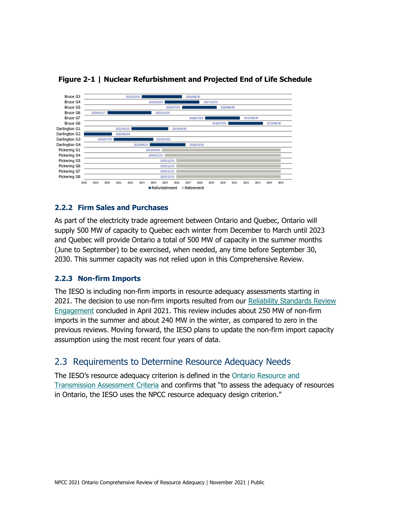

**Figure 2-1 | Nuclear Refurbishment and Projected End of Life Schedule**

#### **2.2.2 Firm Sales and Purchases**

As part of the electricity trade agreement between Ontario and Quebec, Ontario will supply 500 MW of capacity to Quebec each winter from December to March until 2023 and Quebec will provide Ontario a total of 500 MW of capacity in the summer months (June to September) to be exercised, when needed, any time before September 30, 2030. This summer capacity was not relied upon in this Comprehensive Review.

#### **2.2.3 Non-firm Imports**

The IESO is including non-firm imports in resource adequacy assessments starting in 2021. The decision to use non-firm imports resulted from our [Reliability Standards Review](https://www.ieso.ca/en/Sector-Participants/Engagement-Initiatives/Engagements/Completed/Reliability-Standards-Review)  [Engagement](https://www.ieso.ca/en/Sector-Participants/Engagement-Initiatives/Engagements/Completed/Reliability-Standards-Review) concluded in April 2021. This review includes about 250 MW of non-firm imports in the summer and about 240 MW in the winter, as compared to zero in the previous reviews. Moving forward, the IESO plans to update the non-firm import capacity assumption using the most recent four years of data.

#### 2.3 Requirements to Determine Resource Adequacy Needs

The IESO's resource adequacy criterion is defined in the [Ontario Resource and](https://www.ieso.ca/-/media/Files/IESO/Document-Library/Market-Rules-and-Manuals-Library/market-manuals/connecting/IMO-REQ-0041-TransmissionAssessmentCriteria.pdf)  [Transmission Assessment Criteria](https://www.ieso.ca/-/media/Files/IESO/Document-Library/Market-Rules-and-Manuals-Library/market-manuals/connecting/IMO-REQ-0041-TransmissionAssessmentCriteria.pdf) and confirms that "to assess the adequacy of resources in Ontario, the IESO uses the NPCC resource adequacy design criterion."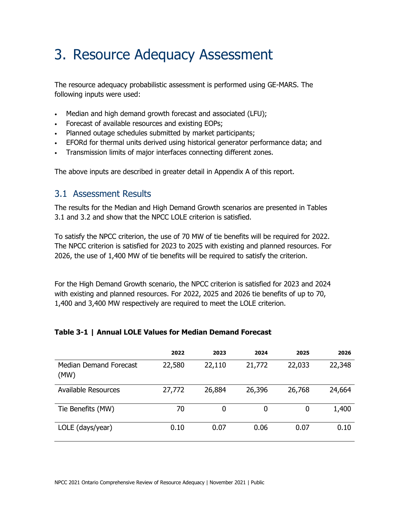## 3. Resource Adequacy Assessment

The resource adequacy probabilistic assessment is performed using GE-MARS. The following inputs were used:

- Median and high demand growth forecast and associated (LFU);
- Forecast of available resources and existing EOPs;
- Planned outage schedules submitted by market participants;
- EFORd for thermal units derived using historical generator performance data; and
- Transmission limits of major interfaces connecting different zones.

The above inputs are described in greater detail in Appendix A of this report.

#### 3.1 Assessment Results

The results for the Median and High Demand Growth scenarios are presented in Tables 3.1 and 3.2 and show that the NPCC LOLE criterion is satisfied.

To satisfy the NPCC criterion, the use of 70 MW of tie benefits will be required for 2022. The NPCC criterion is satisfied for 2023 to 2025 with existing and planned resources. For 2026, the use of 1,400 MW of tie benefits will be required to satisfy the criterion.

For the High Demand Growth scenario, the NPCC criterion is satisfied for 2023 and 2024 with existing and planned resources. For 2022, 2025 and 2026 tie benefits of up to 70, 1,400 and 3,400 MW respectively are required to meet the LOLE criterion.

#### **Table 3-1 | Annual LOLE Values for Median Demand Forecast**

|                                | 2022   | 2023   | 2024   | 2025   | 2026   |
|--------------------------------|--------|--------|--------|--------|--------|
| Median Demand Forecast<br>(MW) | 22,580 | 22,110 | 21,772 | 22,033 | 22,348 |
| <b>Available Resources</b>     | 27,772 | 26,884 | 26,396 | 26,768 | 24,664 |
| Tie Benefits (MW)              | 70     | 0      | 0      | 0      | 1,400  |
| LOLE (days/year)               | 0.10   | 0.07   | 0.06   | 0.07   | 0.10   |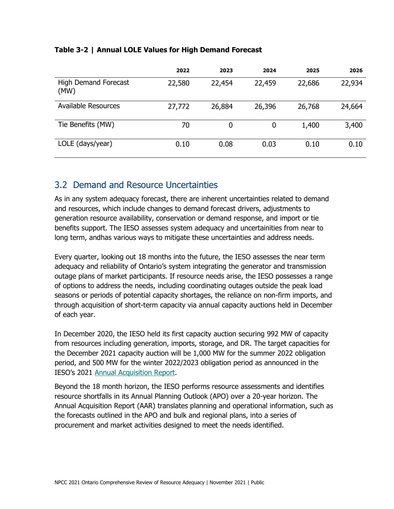|                                     | 2022   | 2023   | 2024   | 2025   | 2026   |
|-------------------------------------|--------|--------|--------|--------|--------|
| <b>High Demand Forecast</b><br>(MW) | 22,580 | 22,454 | 22,459 | 22,686 | 22,934 |
| <b>Available Resources</b>          | 27,772 | 26,884 | 26,396 | 26,768 | 24,664 |
| Tie Benefits (MW)                   | 70     | 0      | 0      | 1,400  | 3,400  |
| LOLE (days/year)                    | 0.10   | 0.08   | 0.03   | 0.10   | 0.10   |

#### **Table 3-2 | Annual LOLE Values for High Demand Forecast**

### 3.2 Demand and Resource Uncertainties

As in any system adequacy forecast, there are inherent uncertainties related to demand and resources, which include changes to demand forecast drivers, adjustments to generation resource availability, conservation or demand response, and import or tie benefits support. The IESO assesses system adequacy and uncertainities from near to long term, andhas various ways to mitigate these uncertainties and address needs.

Every quarter, looking out 18 months into the future, the IESO assesses the near term adequacy and reliability of Ontario's system integrating the generator and transmission outage plans of market participants. If resource needs arise, the IESO possesses a range of options to address the needs, including coordinating outages outside the peak load seasons or periods of potential capacity shortages, the reliance on non-firm imports, and through acquisition of short-term capacity via annual capacity auctions held in December of each year.

In December 2020, the IESO held its first capacity auction securing 992 MW of capacity from resources including generation, imports, storage, and DR. The target capacities for the December 2021 capacity auction will be 1,000 MW for the summer 2022 obligation period, and 500 MW for the winter 2022/2023 obligation period as announced in the IESO's 2021 [Annual Acquisition Report.](https://ieso.ca/-/media/Files/IESO/Document-Library/planning-forecasts/aar/Annual-Acquisition-Report-2021.ashx)

Beyond the 18 month horizon, the IESO performs resource assessments and identifies resource shortfalls in its Annual Planning Outlook (APO) over a 20-year horizon. The Annual Acquisition Report (AAR) translates planning and operational information, such as the forecasts outlined in the APO and bulk and regional plans, into a series of procurement and market activities designed to meet the needs identified.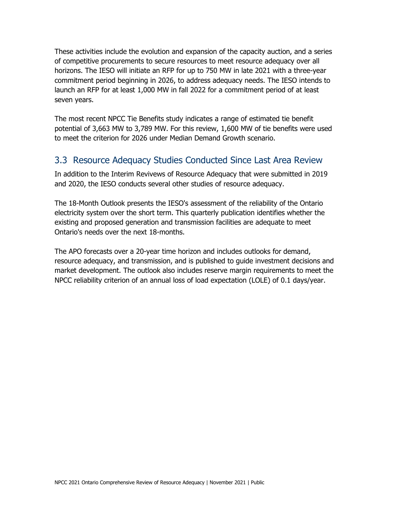These activities include the evolution and expansion of the capacity auction, and a series of competitive procurements to secure resources to meet resource adequacy over all horizons. The IESO will initiate an RFP for up to 750 MW in late 2021 with a three-year commitment period beginning in 2026, to address adequacy needs. The IESO intends to launch an RFP for at least 1,000 MW in fall 2022 for a commitment period of at least seven years.

The most recent NPCC Tie Benefits study indicates a range of estimated tie benefit potential of 3,663 MW to 3,789 MW. For this review, 1,600 MW of tie benefits were used to meet the criterion for 2026 under Median Demand Growth scenario.

### 3.3 Resource Adequacy Studies Conducted Since Last Area Review

In addition to the Interim Revivews of Resource Adequacy that were submitted in 2019 and 2020, the IESO conducts several other studies of resource adequacy.

The 18-Month Outlook presents the IESO's assessment of the reliability of the Ontario electricity system over the short term. This quarterly publication identifies whether the existing and proposed generation and transmission facilities are adequate to meet Ontario's needs over the next 18-months.

The APO forecasts over a 20-year time horizon and includes outlooks for demand, resource adequacy, and transmission, and is published to guide investment decisions and market development. The outlook also includes reserve margin requirements to meet the NPCC reliability criterion of an annual loss of load expectation (LOLE) of 0.1 days/year.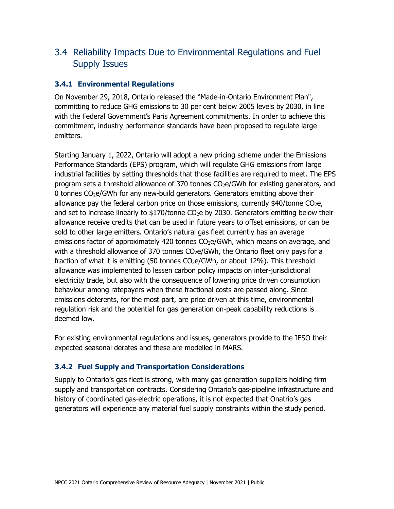### 3.4 Reliability Impacts Due to Environmental Regulations and Fuel Supply Issues

#### **3.4.1 Environmental Regulations**

On November 29, 2018, Ontario released the ["Made-in-Ontario Environment Plan"](https://www.ontario.ca/page/made-in-ontario-environment-plan), committing to reduce GHG emissions to 30 per cent below 2005 levels by 2030, in line with the Federal Government's Paris Agreement commitments. In order to achieve this commitment, industry performance standards have been proposed to regulate large emitters.

Starting January 1, 2022, Ontario will adopt a new pricing scheme under the Emissions Performance Standards (EPS) program, which will regulate GHG emissions from large industrial facilities by setting thresholds that those facilities are required to meet. The EPS program sets a threshold allowance of 370 tonnes CO2e/GWh for existing generators, and 0 tonnes CO2e/GWh for any new-build generators. Generators emitting above their allowance pay the federal carbon price on those emissions, currently  $$40/t$ onne CO<sub>2</sub>e, and set to increase linearly to  $$170$ /tonne CO<sub>2</sub>e by 2030. Generators emitting below their allowance receive credits that can be used in future years to offset emissions, or can be sold to other large emitters. Ontario's natural gas fleet currently has an average emissions factor of approximately 420 tonnes CO<sub>2</sub>e/GWh, which means on average, and with a threshold allowance of 370 tonnes  $CO<sub>2</sub>e/GWh$ , the Ontario fleet only pays for a fraction of what it is emitting (50 tonnes  $CO<sub>2</sub>e/GWh$ , or about 12%). This threshold allowance was implemented to lessen carbon policy impacts on inter-jurisdictional electricity trade, but also with the consequence of lowering price driven consumption behaviour among ratepayers when these fractional costs are passed along. Since emissions deterents, for the most part, are price driven at this time, environmental regulation risk and the potential for gas generation on-peak capability reductions is deemed low.

For existing environmental regulations and issues, generators provide to the IESO their expected seasonal derates and these are modelled in MARS.

#### **3.4.2 Fuel Supply and Transportation Considerations**

Supply to Ontario's gas fleet is strong, with many gas generation suppliers holding firm supply and transportation contracts. Considering Ontario's gas-pipeline infrastructure and history of coordinated gas-electric operations, it is not expected that Onatrio's gas generators will experience any material fuel supply constraints within the study period.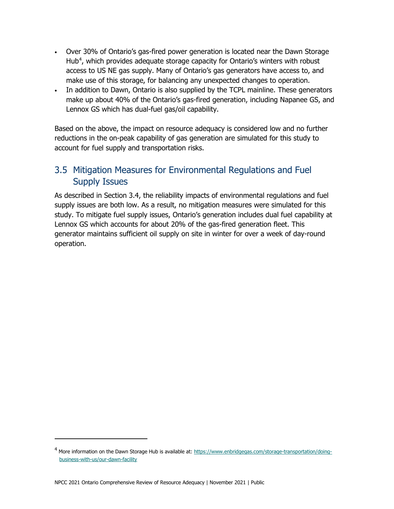- Over 30% of Ontario's gas-fired power generation is located near the Dawn Storage Hub<sup>[4](#page-24-0)</sup>, which provides adequate storage capacity for Ontario's winters with robust access to US NE gas supply. Many of Ontario's gas generators have access to, and make use of this storage, for balancing any unexpected changes to operation.
- In addition to Dawn, Ontario is also supplied by the TCPL mainline. These generators make up about 40% of the Ontario's gas-fired generation, including Napanee GS, and Lennox GS which has dual-fuel gas/oil capability.

Based on the above, the impact on resource adequacy is considered low and no further reductions in the on-peak capability of gas generation are simulated for this study to account for fuel supply and transportation risks.

### 3.5 Mitigation Measures for Environmental Regulations and Fuel Supply Issues

As described in Section 3.4, the reliability impacts of environmental regulations and fuel supply issues are both low. As a result, no mitigation measures were simulated for this study. To mitigate fuel supply issues, Ontario's generation includes dual fuel capability at Lennox GS which accounts for about 20% of the gas-fired generation fleet. This generator maintains sufficient oil supply on site in winter for over a week of day-round operation.

<span id="page-24-0"></span><sup>&</sup>lt;sup>4</sup> More information on the Dawn Storage Hub is available at[: https://www.enbridgegas.com/storage-transportation/doing](https://www.enbridgegas.com/storage-transportation/doing-business-with-us/our-dawn-facility)[business-with-us/our-dawn-facility](https://www.enbridgegas.com/storage-transportation/doing-business-with-us/our-dawn-facility)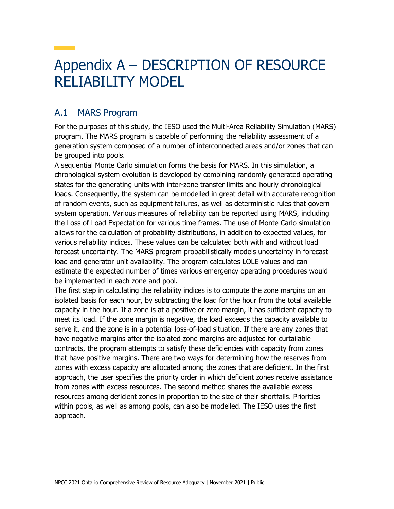## Appendix A – DESCRIPTION OF RESOURCE RELIABILITY MODEL

### A.1 MARS Program

For the purposes of this study, the IESO used the Multi-Area Reliability Simulation (MARS) program. The MARS program is capable of performing the reliability assessment of a generation system composed of a number of interconnected areas and/or zones that can be grouped into pools.

A sequential Monte Carlo simulation forms the basis for MARS. In this simulation, a chronological system evolution is developed by combining randomly generated operating states for the generating units with inter-zone transfer limits and hourly chronological loads. Consequently, the system can be modelled in great detail with accurate recognition of random events, such as equipment failures, as well as deterministic rules that govern system operation. Various measures of reliability can be reported using MARS, including the Loss of Load Expectation for various time frames. The use of Monte Carlo simulation allows for the calculation of probability distributions, in addition to expected values, for various reliability indices. These values can be calculated both with and without load forecast uncertainty. The MARS program probabilistically models uncertainty in forecast load and generator unit availability. The program calculates LOLE values and can estimate the expected number of times various emergency operating procedures would be implemented in each zone and pool.

The first step in calculating the reliability indices is to compute the zone margins on an isolated basis for each hour, by subtracting the load for the hour from the total available capacity in the hour. If a zone is at a positive or zero margin, it has sufficient capacity to meet its load. If the zone margin is negative, the load exceeds the capacity available to serve it, and the zone is in a potential loss-of-load situation. If there are any zones that have negative margins after the isolated zone margins are adjusted for curtailable contracts, the program attempts to satisfy these deficiencies with capacity from zones that have positive margins. There are two ways for determining how the reserves from zones with excess capacity are allocated among the zones that are deficient. In the first approach, the user specifies the priority order in which deficient zones receive assistance from zones with excess resources. The second method shares the available excess resources among deficient zones in proportion to the size of their shortfalls. Priorities within pools, as well as among pools, can also be modelled. The IESO uses the first approach.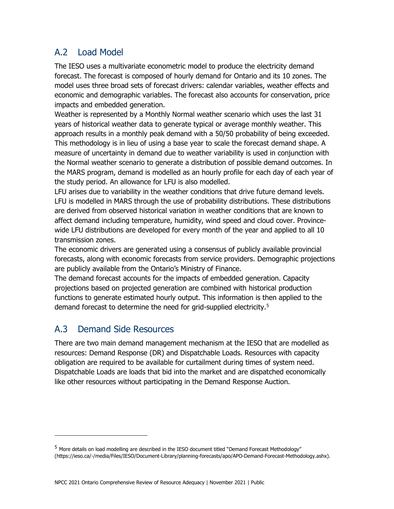### A.2 Load Model

The IESO uses a multivariate econometric model to produce the electricity demand forecast. The forecast is composed of hourly demand for Ontario and its 10 zones. The model uses three broad sets of forecast drivers: calendar variables, weather effects and economic and demographic variables. The forecast also accounts for conservation, price impacts and embedded generation.

Weather is represented by a Monthly Normal weather scenario which uses the last 31 years of historical weather data to generate typical or average monthly weather. This approach results in a monthly peak demand with a 50/50 probability of being exceeded. This methodology is in lieu of using a base year to scale the forecast demand shape. A measure of uncertainty in demand due to weather variability is used in conjunction with the Normal weather scenario to generate a distribution of possible demand outcomes. In the MARS program, demand is modelled as an hourly profile for each day of each year of the study period. An allowance for LFU is also modelled.

LFU arises due to variability in the weather conditions that drive future demand levels. LFU is modelled in MARS through the use of probability distributions. These distributions are derived from observed historical variation in weather conditions that are known to affect demand including temperature, humidity, wind speed and cloud cover. Provincewide LFU distributions are developed for every month of the year and applied to all 10 transmission zones.

The economic drivers are generated using a consensus of publicly available provincial forecasts, along with economic forecasts from service providers. Demographic projections are publicly available from the Ontario's Ministry of Finance.

The demand forecast accounts for the impacts of embedded generation. Capacity projections based on projected generation are combined with historical production functions to generate estimated hourly output. This information is then applied to the demand forecast to determine the need for grid-supplied electricity.<sup>[5](#page-26-0)</sup>

### A.3 Demand Side Resources

There are two main demand management mechanism at the IESO that are modelled as resources: Demand Response (DR) and Dispatchable Loads. Resources with capacity obligation are required to be available for curtailment during times of system need. Dispatchable Loads are loads that bid into the market and are dispatched economically like other resources without participating in the Demand Response Auction.

<span id="page-26-0"></span><sup>&</sup>lt;sup>5</sup> More details on load modelling are described in the IESO document titled "Demand Forecast Methodology" (https://ieso.ca/-/media/Files/IESO/Document-Library/planning-forecasts/apo/APO-Demand-Forecast-Methodology.ashx).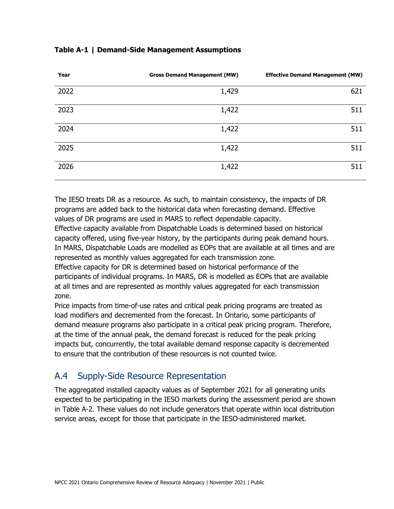| Year | <b>Gross Demand Management (MW)</b> | <b>Effective Demand Management (MW)</b> |
|------|-------------------------------------|-----------------------------------------|
| 2022 | 1,429                               | 621                                     |
| 2023 | 1,422                               | 511                                     |
| 2024 | 1,422                               | 511                                     |
| 2025 | 1,422                               | 511                                     |
| 2026 | 1,422                               | 511                                     |

#### **Table A-1 | Demand-Side Management Assumptions**

The IESO treats DR as a resource. As such, to maintain consistency, the impacts of DR programs are added back to the historical data when forecasting demand. Effective values of DR programs are used in MARS to reflect dependable capacity.

Effective capacity available from Dispatchable Loads is determined based on historical capacity offered, using five-year history, by the participants during peak demand hours. In MARS, Dispatchable Loads are modelled as EOPs that are available at all times and are represented as monthly values aggregated for each transmission zone.

Effective capacity for DR is determined based on historical performance of the participants of individual programs. In MARS, DR is modelled as EOPs that are available at all times and are represented as monthly values aggregated for each transmission zone.

Price impacts from time-of-use rates and critical peak pricing programs are treated as load modifiers and decremented from the forecast. In Ontario, some participants of demand measure programs also participate in a critical peak pricing program. Therefore, at the time of the annual peak, the demand forecast is reduced for the peak pricing impacts but, concurrently, the total available demand response capacity is decremented to ensure that the contribution of these resources is not counted twice.

### A.4 Supply-Side Resource Representation

The aggregated installed capacity values as of September 2021 for all generating units expected to be participating in the IESO markets during the assessment period are shown in Table A-2. These values do not include generators that operate within local distribution service areas, except for those that participate in the IESO-administered market.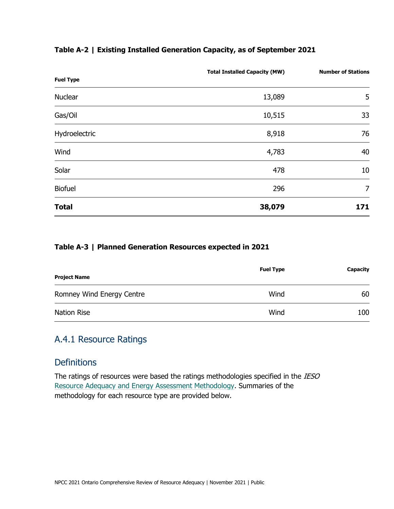| <b>Fuel Type</b> | <b>Total Installed Capacity (MW)</b> | <b>Number of Stations</b> |
|------------------|--------------------------------------|---------------------------|
| Nuclear          | 13,089                               | 5                         |
| Gas/Oil          | 10,515                               | 33                        |
| Hydroelectric    | 8,918                                | 76                        |
| Wind             | 4,783                                | 40                        |
| Solar            | 478                                  | 10                        |
| <b>Biofuel</b>   | 296                                  | $\overline{7}$            |
| <b>Total</b>     | 38,079                               | 171                       |

#### **Table A-3 | Planned Generation Resources expected in 2021**

| <b>Project Name</b>       | <b>Fuel Type</b> | Capacity |
|---------------------------|------------------|----------|
| Romney Wind Energy Centre | Wind             | 60       |
| Nation Rise               | Wind             | 100      |

### A.4.1 Resource Ratings

### **Definitions**

The ratings of resources were based the ratings methodologies specified in the IESO [Resource Adequacy and Energy Assessment Methodology.](https://ieso.ca/-/media/Files/IESO/Document-Library/planning-forecasts/apo/APO-Resource-Adequacy-Energy-Assessment-Methodology.ashx) Summaries of the methodology for each resource type are provided below.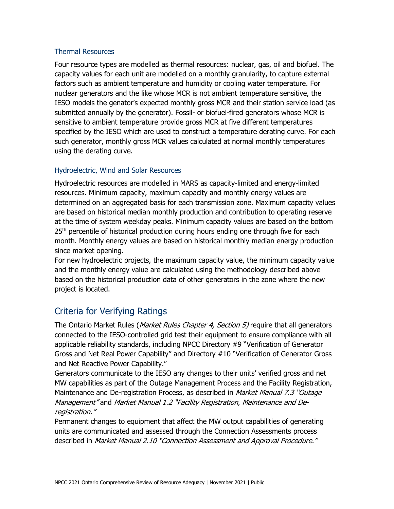#### Thermal Resources

Four resource types are modelled as thermal resources: nuclear, gas, oil and biofuel. The capacity values for each unit are modelled on a monthly granularity, to capture external factors such as ambient temperature and humidity or cooling water temperature. For nuclear generators and the like whose MCR is not ambient temperature sensitive, the IESO models the genator's expected monthly gross MCR and their station service load (as submitted annually by the generator). Fossil- or biofuel-fired generators whose MCR is sensitive to ambient temperature provide gross MCR at five different temperatures specified by the IESO which are used to construct a temperature derating curve. For each such generator, monthly gross MCR values calculated at normal monthly temperatures using the derating curve.

#### Hydroelectric, Wind and Solar Resources

Hydroelectric resources are modelled in MARS as capacity-limited and energy-limited resources. Minimum capacity, maximum capacity and monthly energy values are determined on an aggregated basis for each transmission zone. Maximum capacity values are based on historical median monthly production and contribution to operating reserve at the time of system weekday peaks. Minimum capacity values are based on the bottom  $25<sup>th</sup>$  percentile of historical production during hours ending one through five for each month. Monthly energy values are based on historical monthly median energy production since market opening.

For new hydroelectric projects, the maximum capacity value, the minimum capacity value and the monthly energy value are calculated using the methodology described above based on the historical production data of other generators in the zone where the new project is located.

### Criteria for Verifying Ratings

The Ontario Market Rules (*Market Rules Chapter 4, Section 5)* require that all generators connected to the IESO-controlled grid test their equipment to ensure compliance with all applicable reliability standards, including NPCC Directory #9 "Verification of Generator Gross and Net Real Power Capability" and Directory #10 "Verification of Generator Gross and Net Reactive Power Capability."

Generators communicate to the IESO any changes to their units' verified gross and net MW capabilities as part of the Outage Management Process and the Facility Registration, Maintenance and De-registration Process, as described in *Market Manual 7.3 "Outage* Management" and Market Manual 1.2 "Facility Registration, Maintenance and Deregistration."

Permanent changes to equipment that affect the MW output capabilities of generating units are communicated and assessed through the Connection Assessments process described in Market Manual 2.10 "Connection Assessment and Approval Procedure."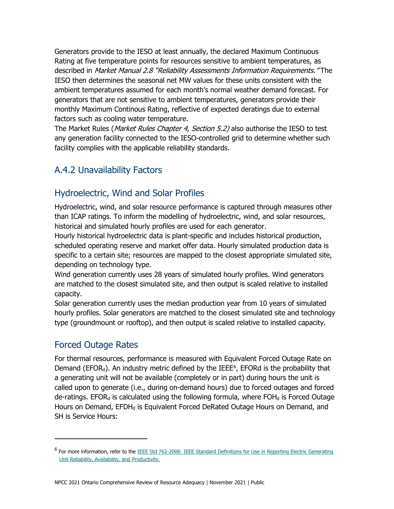Generators provide to the IESO at least annually, the declared Maximum Continuous Rating at five temperature points for resources sensitive to ambient temperatures, as described in Market Manual 2.8 "Reliability Assessments Information Requirements." The IESO then determines the seasonal net MW values for these units consistent with the ambient temperatures assumed for each month's normal weather demand forecast. For generators that are not sensitive to ambient temperatures, generators provide their monthly Maximum Continous Rating, reflective of expected deratings due to external factors such as cooling water temperature.

The Market Rules (*Market Rules Chapter 4, Section 5.2*) also authorise the IESO to test any generation facility connected to the IESO-controlled grid to determine whether such facility complies with the applicable reliability standards.

### A.4.2 Unavailability Factors

### Hydroelectric, Wind and Solar Profiles

Hydroelectric, wind, and solar resource performance is captured through measures other than ICAP ratings. To inform the modelling of hydroelectric, wind, and solar resources, historical and simulated hourly profiles are used for each generator.

Hourly historical hydroelectric data is plant-specific and includes historical production, scheduled operating reserve and market offer data. Hourly simulated production data is specific to a certain site; resources are mapped to the closest appropriate simulated site, depending on technology type.

Wind generation currently uses 28 years of simulated hourly profiles. Wind generators are matched to the closest simulated site, and then output is scaled relative to installed capacity.

Solar generation currently uses the median production year from 10 years of simulated hourly profiles. Solar generators are matched to the closest simulated site and technology type (groundmount or rooftop), and then output is scaled relative to installed capacity.

### Forced Outage Rates

For thermal resources, performance is measured with Equivalent Forced Outage Rate on Demand (EFOR<sub>d</sub>). An industry metric defined by the IEEE<sup>[6](#page-30-0)</sup>, EFORd is the probability that a generating unit will not be available (completely or in part) during hours the unit is called upon to generate (i.e., during on-demand hours) due to forced outages and forced de-ratings. EFOR<sub>d</sub> is calculated using the following formula, where FOH $_d$  is Forced Outage Hours on Demand, EFDH<sub>d</sub> is Equivalent Forced DeRated Outage Hours on Demand, and SH is Service Hours:

<span id="page-30-0"></span><sup>&</sup>lt;sup>6</sup> For more information, refer to the IEEE Std 762-2006: IEEE Standard Definitions for Use in Reporting Electric Generating [Unit Reliability, Availability, and Productivity.](https://standards.ieee.org/standard/762-2006.html)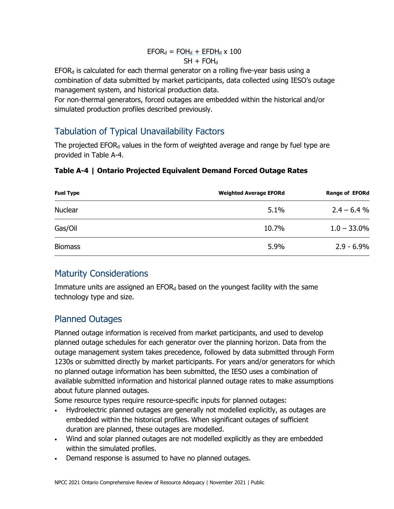#### $EFOR_d = FOH_d + EFDH_d \times 100$  $SH + FOH_d$

 $EFOR<sub>d</sub>$  is calculated for each thermal generator on a rolling five-year basis using a combination of data submitted by market participants, data collected using IESO's outage management system, and historical production data.

For non-thermal generators, forced outages are embedded within the historical and/or simulated production profiles described previously.

### Tabulation of Typical Unavailability Factors

The projected  $EFOR<sub>d</sub>$  values in the form of weighted average and range by fuel type are provided in Table A-4.

#### **Table A-4 | Ontario Projected Equivalent Demand Forced Outage Rates**

| <b>Fuel Type</b> | <b>Weighted Average EFORd</b> | <b>Range of EFORd</b> |
|------------------|-------------------------------|-----------------------|
| <b>Nuclear</b>   | 5.1%                          | $2.4 - 6.4%$          |
| Gas/Oil          | 10.7%                         | $1.0 - 33.0\%$        |
| <b>Biomass</b>   | 5.9%                          | $2.9 - 6.9\%$         |

### Maturity Considerations

Immature units are assigned an  $EFOR<sub>d</sub>$  based on the youngest facility with the same technology type and size.

### Planned Outages

Planned outage information is received from market participants, and used to develop planned outage schedules for each generator over the planning horizon. Data from the outage management system takes precedence, followed by data submitted through Form 1230s or submitted directly by market participants. For years and/or generators for which no planned outage information has been submitted, the IESO uses a combination of available submitted information and historical planned outage rates to make assumptions about future planned outages.

Some resource types require resource-specific inputs for planned outages:

- Hydroelectric planned outages are generally not modelled explicitly, as outages are embedded within the historical profiles. When significant outages of sufficient duration are planned, these outages are modelled.
- Wind and solar planned outages are not modelled explicitly as they are embedded within the simulated profiles.
- Demand response is assumed to have no planned outages.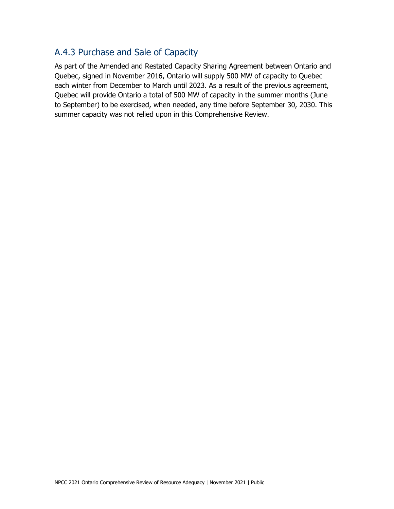### A.4.3 Purchase and Sale of Capacity

As part of the Amended and Restated Capacity Sharing Agreement between Ontario and Quebec, signed in November 2016, Ontario will supply 500 MW of capacity to Quebec each winter from December to March until 2023. As a result of the previous agreement, Quebec will provide Ontario a total of 500 MW of capacity in the summer months (June to September) to be exercised, when needed, any time before September 30, 2030. This summer capacity was not relied upon in this Comprehensive Review.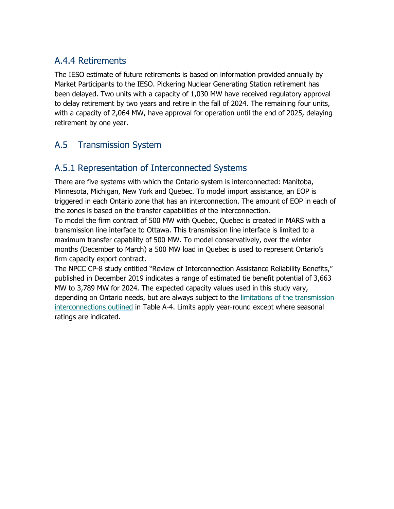### A.4.4 Retirements

The IESO estimate of future retirements is based on information provided annually by Market Participants to the IESO. Pickering Nuclear Generating Station retirement has been delayed. Two units with a capacity of 1,030 MW have received regulatory approval to delay retirement by two years and retire in the fall of 2024. The remaining four units, with a capacity of 2,064 MW, have approval for operation until the end of 2025, delaying retirement by one year.

### A.5 Transmission System

### A.5.1 Representation of Interconnected Systems

There are five systems with which the Ontario system is interconnected: Manitoba, Minnesota, Michigan, New York and Quebec. To model import assistance, an EOP is triggered in each Ontario zone that has an interconnection. The amount of EOP in each of the zones is based on the transfer capabilities of the interconnection. To model the firm contract of 500 MW with Quebec, Quebec is created in MARS with a transmission line interface to Ottawa. This transmission line interface is limited to a maximum transfer capability of 500 MW. To model conservatively, over the winter months (December to March) a 500 MW load in Quebec is used to represent Ontario's firm capacity export contract.

The NPCC CP-8 study entitled "Review of Interconnection Assistance Reliability Benefits," published in December 2019 indicates a range of estimated tie benefit potential of 3,663 MW to 3,789 MW for 2024. The expected capacity values used in this study vary, depending on Ontario needs, but are always subject to the [limitations of the transmission](https://ieso.ca/-/media/Files/IESO/Document-Library/planning-forecasts/reliability-outlook/ReliabilityOutlookTables_2021Sep.ashx)  [interconnections outlined](https://ieso.ca/-/media/Files/IESO/Document-Library/planning-forecasts/reliability-outlook/ReliabilityOutlookTables_2021Sep.ashx) in Table A-4. Limits apply year-round except where seasonal ratings are indicated.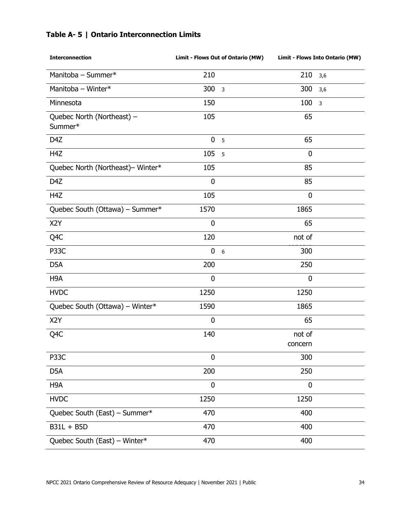|  |  | Table A- 5   Ontario Interconnection Limits |  |
|--|--|---------------------------------------------|--|
|--|--|---------------------------------------------|--|

| <b>Interconnection</b>                | Limit - Flows Out of Ontario (MW) |                         | Limit - Flows Into Ontario (MW) |                         |
|---------------------------------------|-----------------------------------|-------------------------|---------------------------------|-------------------------|
| Manitoba - Summer*                    | 210                               |                         | 210                             | 3,6                     |
| Manitoba - Winter*                    | 300                               | $\overline{\mathbf{3}}$ | 300                             | 3,6                     |
| Minnesota                             | 150                               |                         | 100                             | $\overline{\mathbf{3}}$ |
| Quebec North (Northeast) -<br>Summer* | 105                               |                         | 65                              |                         |
| D4Z                                   | $\mathbf 0$                       | 5                       | 65                              |                         |
| H <sub>4</sub> Z                      | 105                               | 5                       | $\mathbf 0$                     |                         |
| Quebec North (Northeast)- Winter*     | 105                               |                         | 85                              |                         |
| D4Z                                   | $\bf{0}$                          |                         | 85                              |                         |
| H <sub>4</sub> Z                      | 105                               |                         | 0                               |                         |
| Quebec South (Ottawa) - Summer*       | 1570                              |                         | 1865                            |                         |
| X <sub>2</sub> Y                      | $\mathbf 0$                       |                         | 65                              |                         |
| Q <sub>4</sub> C                      | 120                               |                         | not of                          |                         |
| P33C                                  | $\mathbf 0$                       | $6\phantom{1}6$         | 300                             |                         |
| D <sub>5</sub> A                      | 200                               |                         | 250                             |                         |
| H <sub>9</sub> A                      | $\mathbf 0$                       |                         | $\mathbf 0$                     |                         |
| <b>HVDC</b>                           | 1250                              |                         | 1250                            |                         |
| Quebec South (Ottawa) - Winter*       | 1590                              |                         | 1865                            |                         |
| X <sub>2</sub> Y                      | $\mathbf 0$                       |                         | 65                              |                         |
| Q <sub>4</sub> C                      | 140                               |                         | not of<br>concern               |                         |
| P <sub>3</sub> 3C                     | $\mathbf 0$                       |                         | 300                             |                         |
| D <sub>5</sub> A                      | 200                               |                         | 250                             |                         |
| H <sub>9</sub> A                      | $\mathbf 0$                       |                         | $\mathbf 0$                     |                         |
| <b>HVDC</b>                           | 1250                              |                         | 1250                            |                         |
| Quebec South (East) - Summer*         | 470                               |                         | 400                             |                         |
| B31L + B5D                            | 470                               |                         | 400                             |                         |
| Quebec South (East) - Winter*         | 470                               |                         | 400                             |                         |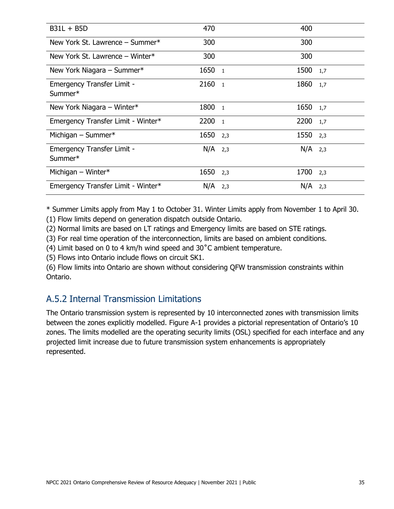| $B31L + B5D$                                 | 470                    | 400        |
|----------------------------------------------|------------------------|------------|
| New York St. Lawrence - Summer*              | 300                    | 300        |
| New York St. Lawrence - Winter*              | 300                    | 300        |
| New York Niagara - Summer*                   | 1650<br>$\overline{1}$ | 1500 1,7   |
| <b>Emergency Transfer Limit -</b><br>Summer* | 2160<br>$\overline{1}$ | 1860 1,7   |
| New York Niagara - Winter*                   | 1800<br>$\overline{1}$ | 1650 1,7   |
| Emergency Transfer Limit - Winter*           | 2200<br>$\overline{1}$ | 2200 1,7   |
| Michigan $-$ Summer*                         | 1650<br>2,3            | $1550$ 2,3 |
| <b>Emergency Transfer Limit -</b><br>Summer* | $N/A$ 2,3              | $N/A$ 2,3  |
| Michigan - Winter*                           | 1650<br>2,3            | 1700 2,3   |
| Emergency Transfer Limit - Winter*           | $N/A$ 2,3              | $N/A$ 2,3  |

\* Summer Limits apply from May 1 to October 31. Winter Limits apply from November 1 to April 30.

(1) Flow limits depend on generation dispatch outside Ontario.

(2) Normal limits are based on LT ratings and Emergency limits are based on STE ratings.

(3) For real time operation of the interconnection, limits are based on ambient conditions.

(4) Limit based on 0 to 4 km/h wind speed and 30˚C ambient temperature.

(5) Flows into Ontario include flows on circuit SK1.

(6) Flow limits into Ontario are shown without considering QFW transmission constraints within Ontario.

### A.5.2 Internal Transmission Limitations

The Ontario transmission system is represented by 10 interconnected zones with transmission limits between the zones explicitly modelled. Figure A-1 provides a pictorial representation of Ontario's 10 zones. The limits modelled are the operating security limits (OSL) specified for each interface and any projected limit increase due to future transmission system enhancements is appropriately represented.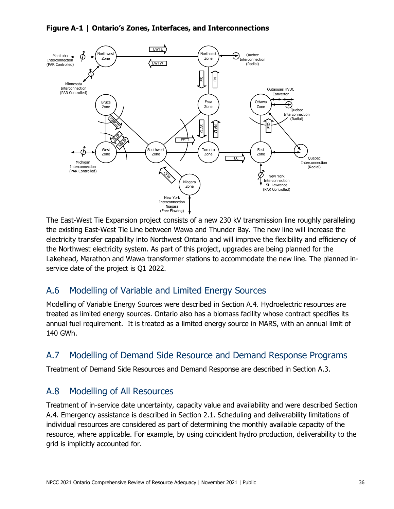#### **Figure A-1 | Ontario's Zones, Interfaces, and Interconnections**



The East-West Tie Expansion project consists of a new 230 kV transmission line roughly paralleling the existing East-West Tie Line between Wawa and Thunder Bay. The new line will increase the electricity transfer capability into Northwest Ontario and will improve the flexibility and efficiency of the Northwest electricity system. As part of this project, upgrades are being planned for the Lakehead, Marathon and Wawa transformer stations to accommodate the new line. The planned inservice date of the project is Q1 2022.

### A.6 Modelling of Variable and Limited Energy Sources

Modelling of Variable Energy Sources were described in Section A.4. Hydroelectric resources are treated as limited energy sources. Ontario also has a biomass facility whose contract specifies its annual fuel requirement. It is treated as a limited energy source in MARS, with an annual limit of 140 GWh.

### A.7 Modelling of Demand Side Resource and Demand Response Programs

Treatment of Demand Side Resources and Demand Response are described in Section A.3.

### A.8 Modelling of All Resources

Treatment of in-service date uncertainty, capacity value and availability and were described Section A.4. Emergency assistance is described in Section 2.1. Scheduling and deliverability limitations of individual resources are considered as part of determining the monthly available capacity of the resource, where applicable. For example, by using coincident hydro production, deliverability to the grid is implicitly accounted for.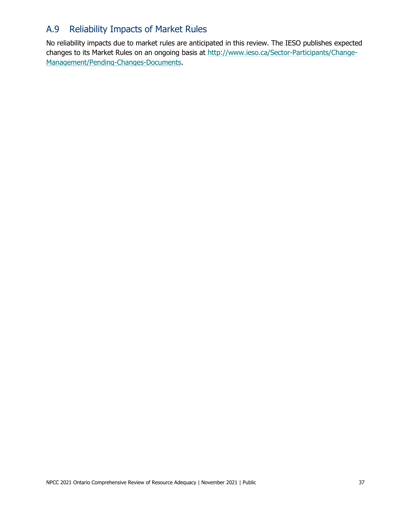### A.9 Reliability Impacts of Market Rules

No reliability impacts due to market rules are anticipated in this review. The IESO publishes expected changes to its Market Rules on an ongoing basis at [http://www.ieso.ca/Sector-Participants/Change-](http://www.ieso.ca/Sector-Participants/Change-Management/Pending-Changes-Documents)[Management/Pending-Changes-Documents.](http://www.ieso.ca/Sector-Participants/Change-Management/Pending-Changes-Documents)